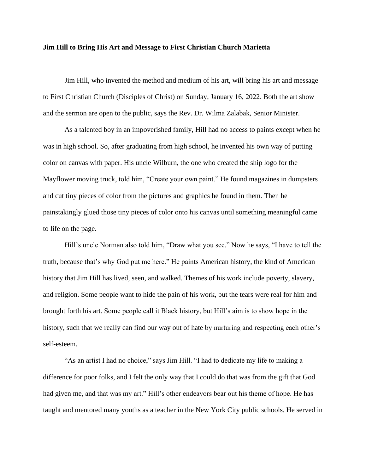## **Jim Hill to Bring His Art and Message to First Christian Church Marietta**

Jim Hill, who invented the method and medium of his art, will bring his art and message to First Christian Church (Disciples of Christ) on Sunday, January 16, 2022. Both the art show and the sermon are open to the public, says the Rev. Dr. Wilma Zalabak, Senior Minister.

As a talented boy in an impoverished family, Hill had no access to paints except when he was in high school. So, after graduating from high school, he invented his own way of putting color on canvas with paper. His uncle Wilburn, the one who created the ship logo for the Mayflower moving truck, told him, "Create your own paint." He found magazines in dumpsters and cut tiny pieces of color from the pictures and graphics he found in them. Then he painstakingly glued those tiny pieces of color onto his canvas until something meaningful came to life on the page.

Hill's uncle Norman also told him, "Draw what you see." Now he says, "I have to tell the truth, because that's why God put me here." He paints American history, the kind of American history that Jim Hill has lived, seen, and walked. Themes of his work include poverty, slavery, and religion. Some people want to hide the pain of his work, but the tears were real for him and brought forth his art. Some people call it Black history, but Hill's aim is to show hope in the history, such that we really can find our way out of hate by nurturing and respecting each other's self-esteem.

"As an artist I had no choice," says Jim Hill. "I had to dedicate my life to making a difference for poor folks, and I felt the only way that I could do that was from the gift that God had given me, and that was my art." Hill's other endeavors bear out his theme of hope. He has taught and mentored many youths as a teacher in the New York City public schools. He served in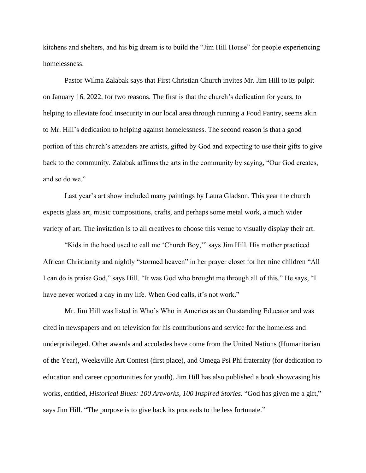kitchens and shelters, and his big dream is to build the "Jim Hill House" for people experiencing homelessness.

Pastor Wilma Zalabak says that First Christian Church invites Mr. Jim Hill to its pulpit on January 16, 2022, for two reasons. The first is that the church's dedication for years, to helping to alleviate food insecurity in our local area through running a Food Pantry, seems akin to Mr. Hill's dedication to helping against homelessness. The second reason is that a good portion of this church's attenders are artists, gifted by God and expecting to use their gifts to give back to the community. Zalabak affirms the arts in the community by saying, "Our God creates, and so do we."

Last year's art show included many paintings by Laura Gladson. This year the church expects glass art, music compositions, crafts, and perhaps some metal work, a much wider variety of art. The invitation is to all creatives to choose this venue to visually display their art.

"Kids in the hood used to call me 'Church Boy,'" says Jim Hill. His mother practiced African Christianity and nightly "stormed heaven" in her prayer closet for her nine children "All I can do is praise God," says Hill. "It was God who brought me through all of this." He says, "I have never worked a day in my life. When God calls, it's not work."

Mr. Jim Hill was listed in Who's Who in America as an Outstanding Educator and was cited in newspapers and on television for his contributions and service for the homeless and underprivileged. Other awards and accolades have come from the United Nations (Humanitarian of the Year), Weeksville Art Contest (first place), and Omega Psi Phi fraternity (for dedication to education and career opportunities for youth). Jim Hill has also published a book showcasing his works, entitled, *Historical Blues: 100 Artworks, 100 Inspired Stories.* "God has given me a gift," says Jim Hill. "The purpose is to give back its proceeds to the less fortunate."